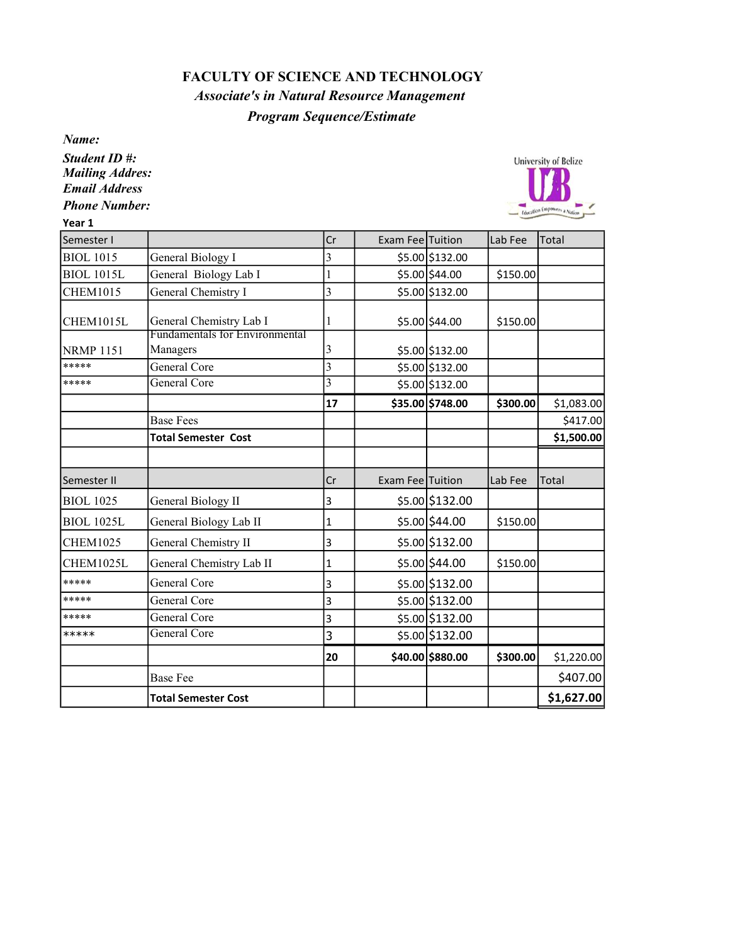## FACULTY OF SCIENCE AND TECHNOLOGY

Associate's in Natural Resource Management

## Program Sequence/Estimate

Name:

Student ID #: Mailing Addres: Email Address Phone Number:

Year 1

H



|                            | Cr                                                |  | Lab Fee                                                                                                                                                                                                                                                                                                                                                                 | Total        |
|----------------------------|---------------------------------------------------|--|-------------------------------------------------------------------------------------------------------------------------------------------------------------------------------------------------------------------------------------------------------------------------------------------------------------------------------------------------------------------------|--------------|
| General Biology I          | 3                                                 |  |                                                                                                                                                                                                                                                                                                                                                                         |              |
| General Biology Lab I      | 1                                                 |  | \$150.00                                                                                                                                                                                                                                                                                                                                                                |              |
| General Chemistry I        | 3                                                 |  |                                                                                                                                                                                                                                                                                                                                                                         |              |
| General Chemistry Lab I    | 1                                                 |  | \$150.00                                                                                                                                                                                                                                                                                                                                                                |              |
|                            | 3                                                 |  |                                                                                                                                                                                                                                                                                                                                                                         |              |
| General Core               | $\overline{\mathbf{3}}$                           |  |                                                                                                                                                                                                                                                                                                                                                                         |              |
| General Core               | $\overline{3}$                                    |  |                                                                                                                                                                                                                                                                                                                                                                         |              |
|                            | 17                                                |  | \$300.00                                                                                                                                                                                                                                                                                                                                                                | \$1,083.00   |
| <b>Base Fees</b>           |                                                   |  |                                                                                                                                                                                                                                                                                                                                                                         | \$417.00     |
| <b>Total Semester Cost</b> |                                                   |  |                                                                                                                                                                                                                                                                                                                                                                         | \$1,500.00   |
|                            |                                                   |  |                                                                                                                                                                                                                                                                                                                                                                         |              |
|                            | Cr                                                |  | Lab Fee                                                                                                                                                                                                                                                                                                                                                                 | <b>Total</b> |
| <b>General Biology II</b>  | 3                                                 |  |                                                                                                                                                                                                                                                                                                                                                                         |              |
| General Biology Lab II     | 1                                                 |  | \$150.00                                                                                                                                                                                                                                                                                                                                                                |              |
| General Chemistry II       | 3                                                 |  |                                                                                                                                                                                                                                                                                                                                                                         |              |
| General Chemistry Lab II   | 1                                                 |  | \$150.00                                                                                                                                                                                                                                                                                                                                                                |              |
| General Core               | 3                                                 |  |                                                                                                                                                                                                                                                                                                                                                                         |              |
| General Core               | 3                                                 |  |                                                                                                                                                                                                                                                                                                                                                                         |              |
| General Core               | 3                                                 |  |                                                                                                                                                                                                                                                                                                                                                                         |              |
| General Core               | 3                                                 |  |                                                                                                                                                                                                                                                                                                                                                                         |              |
|                            | 20                                                |  | \$300.00                                                                                                                                                                                                                                                                                                                                                                | \$1,220.00   |
| <b>Base Fee</b>            |                                                   |  |                                                                                                                                                                                                                                                                                                                                                                         | \$407.00     |
| <b>Total Semester Cost</b> |                                                   |  |                                                                                                                                                                                                                                                                                                                                                                         | \$1,627.00   |
|                            | <b>Fundamentals for Environmental</b><br>Managers |  | Exam Fee Tuition<br>\$5.00 \$132.00<br>$$5.00$ \$44.00<br>\$5.00 \$132.00<br>\$5.00 \$44.00<br>\$5.00 \$132.00<br>\$5.00 \$132.00<br>\$5.00 \$132.00<br>\$35.00 \$748.00<br>Exam Fee Tuition<br>\$5.00 \$132.00<br>$$5.00$ \$44.00<br>\$5.00 \$132.00<br>\$5.00 \$44.00<br>\$5.00 \$132.00<br>\$5.00 \$132.00<br>\$5.00 \$132.00<br>\$5.00 \$132.00<br>\$40.00 \$880.00 |              |